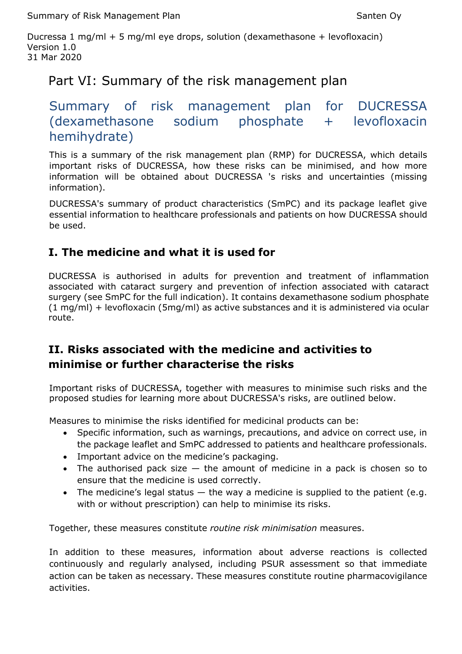Summary of Risk Management Plan Summary of Risk Management Plan

Ducressa 1 mg/ml + 5 mg/ml eye drops, solution (dexamethasone + levofloxacin) Version 1.0 31 Mar 2020

# Part VI: Summary of the risk management plan

# Summary of risk management plan for DUCRESSA (dexamethasone sodium phosphate + levofloxacin hemihydrate)

This is a summary of the risk management plan (RMP) for DUCRESSA, which details important risks of DUCRESSA, how these risks can be minimised, and how more information will be obtained about DUCRESSA 's risks and uncertainties (missing information).

DUCRESSA's summary of product characteristics (SmPC) and its package leaflet give essential information to healthcare professionals and patients on how DUCRESSA should be used.

## **I. The medicine and what it is used for**

DUCRESSA is authorised in adults for prevention and treatment of inflammation associated with cataract surgery and prevention of infection associated with cataract surgery (see SmPC for the full indication). It contains dexamethasone sodium phosphate (1 mg/ml) + levofloxacin (5mg/ml) as active substances and it is administered via ocular route.

## **II. Risks associated with the medicine and activities to minimise or further characterise the risks**

Important risks of DUCRESSA, together with measures to minimise such risks and the proposed studies for learning more about DUCRESSA's risks, are outlined below.

Measures to minimise the risks identified for medicinal products can be:

- Specific information, such as warnings, precautions, and advice on correct use, in the package leaflet and SmPC addressed to patients and healthcare professionals.
- Important advice on the medicine's packaging.
- The authorised pack size  $-$  the amount of medicine in a pack is chosen so to ensure that the medicine is used correctly.
- The medicine's legal status  $-$  the way a medicine is supplied to the patient (e.g. with or without prescription) can help to minimise its risks.

Together, these measures constitute *routine risk minimisation* measures.

In addition to these measures, information about adverse reactions is collected continuously and regularly analysed, including PSUR assessment so that immediate action can be taken as necessary. These measures constitute routine pharmacovigilance activities.